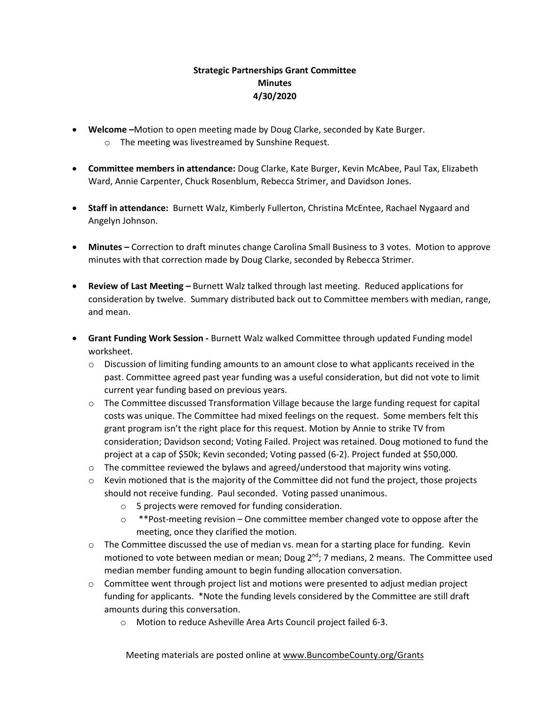## **Strategic Partnerships Grant Committee Minutes 4/30/2020**

- **Welcome –**Motion to open meeting made by Doug Clarke, seconded by Kate Burger.
	- o The meeting was livestreamed by Sunshine Request.
- **Committee members in attendance:** Doug Clarke, Kate Burger, Kevin McAbee, Paul Tax, Elizabeth Ward, Annie Carpenter, Chuck Rosenblum, Rebecca Strimer, and Davidson Jones.
- **Staff in attendance:** Burnett Walz, Kimberly Fullerton, Christina McEntee, Rachael Nygaard and Angelyn Johnson.
- **Minutes –** Correction to draft minutes change Carolina Small Business to 3 votes. Motion to approve minutes with that correction made by Doug Clarke, seconded by Rebecca Strimer.
- **Review of Last Meeting –** Burnett Walz talked through last meeting. Reduced applications for consideration by twelve. Summary distributed back out to Committee members with median, range, and mean.
- **Grant Funding Work Session -** Burnett Walz walked Committee through updated Funding model worksheet.
	- $\circ$  Discussion of limiting funding amounts to an amount close to what applicants received in the past. Committee agreed past year funding was a useful consideration, but did not vote to limit current year funding based on previous years.
	- o The Committee discussed Transformation Village because the large funding request for capital costs was unique. The Committee had mixed feelings on the request. Some members felt this grant program isn't the right place for this request. Motion by Annie to strike TV from consideration; Davidson second; Voting Failed. Project was retained. Doug motioned to fund the project at a cap of \$50k; Kevin seconded; Voting passed (6-2). Project funded at \$50,000.
	- $\circ$  The committee reviewed the bylaws and agreed/understood that majority wins voting.
	- $\circ$  Kevin motioned that is the majority of the Committee did not fund the project, those projects should not receive funding. Paul seconded. Voting passed unanimous.
		- o 5 projects were removed for funding consideration.
		- $\circ$  \*\*Post-meeting revision One committee member changed vote to oppose after the meeting, once they clarified the motion.
	- $\circ$  The Committee discussed the use of median vs. mean for a starting place for funding. Kevin motioned to vote between median or mean; Doug  $2^{nd}$ ; 7 medians, 2 means. The Committee used median member funding amount to begin funding allocation conversation.
	- $\circ$  Committee went through project list and motions were presented to adjust median project funding for applicants. \*Note the funding levels considered by the Committee are still draft amounts during this conversation.
		- o Motion to reduce Asheville Area Arts Council project failed 6-3.